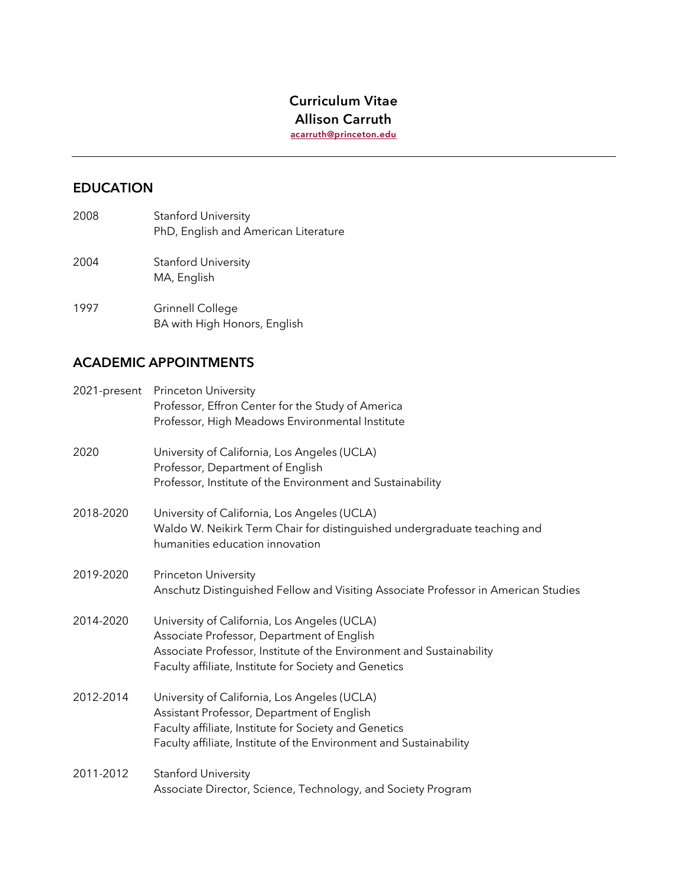## **Curriculum Vitae Allison Carruth**

**acarruth@princeton.edu**

## **EDUCATION**

- 2008 Stanford University PhD, English and American Literature
- 2004 Stanford University MA, English
- 1997 Grinnell College BA with High Honors, English

# **ACADEMIC APPOINTMENTS**

| 2021-present | <b>Princeton University</b><br>Professor, Effron Center for the Study of America<br>Professor, High Meadows Environmental Institute                                                                                         |
|--------------|-----------------------------------------------------------------------------------------------------------------------------------------------------------------------------------------------------------------------------|
| 2020         | University of California, Los Angeles (UCLA)<br>Professor, Department of English<br>Professor, Institute of the Environment and Sustainability                                                                              |
| 2018-2020    | University of California, Los Angeles (UCLA)<br>Waldo W. Neikirk Term Chair for distinguished undergraduate teaching and<br>humanities education innovation                                                                 |
| 2019-2020    | <b>Princeton University</b><br>Anschutz Distinguished Fellow and Visiting Associate Professor in American Studies                                                                                                           |
| 2014-2020    | University of California, Los Angeles (UCLA)<br>Associate Professor, Department of English<br>Associate Professor, Institute of the Environment and Sustainability<br>Faculty affiliate, Institute for Society and Genetics |
| 2012-2014    | University of California, Los Angeles (UCLA)<br>Assistant Professor, Department of English<br>Faculty affiliate, Institute for Society and Genetics<br>Faculty affiliate, Institute of the Environment and Sustainability   |
| 2011-2012    | <b>Stanford University</b><br>Associate Director, Science, Technology, and Society Program                                                                                                                                  |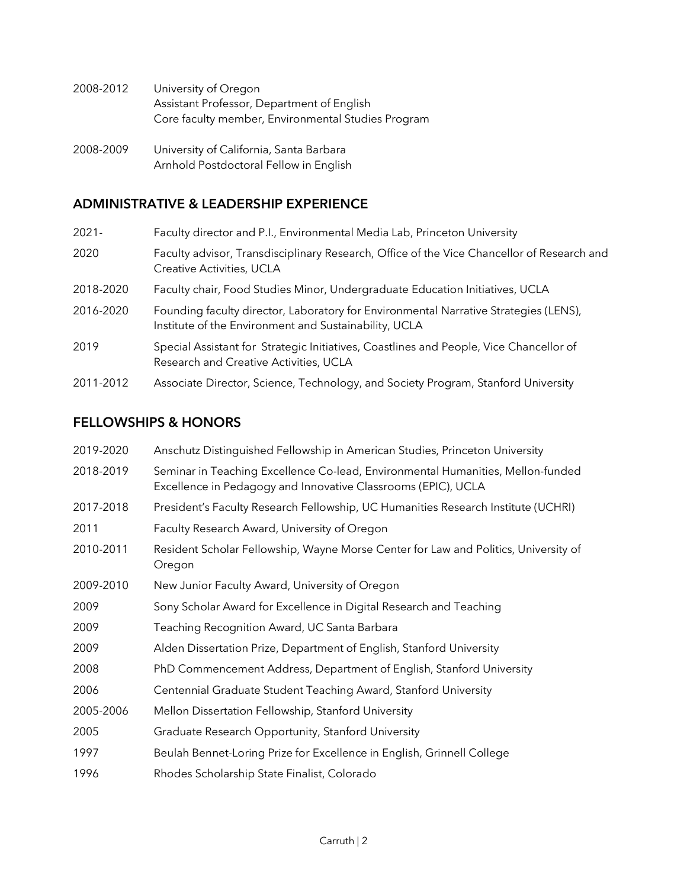- 2008-2012 University of Oregon Assistant Professor, Department of English Core faculty member, Environmental Studies Program
- 2008-2009 University of California, Santa Barbara Arnhold Postdoctoral Fellow in English

### **ADMINISTRATIVE & LEADERSHIP EXPERIENCE**

| $2021 -$  | Faculty director and P.I., Environmental Media Lab, Princeton University                                                                      |
|-----------|-----------------------------------------------------------------------------------------------------------------------------------------------|
| 2020      | Faculty advisor, Transdisciplinary Research, Office of the Vice Chancellor of Research and<br>Creative Activities, UCLA                       |
| 2018-2020 | Faculty chair, Food Studies Minor, Undergraduate Education Initiatives, UCLA                                                                  |
| 2016-2020 | Founding faculty director, Laboratory for Environmental Narrative Strategies (LENS),<br>Institute of the Environment and Sustainability, UCLA |
| 2019      | Special Assistant for Strategic Initiatives, Coastlines and People, Vice Chancellor of<br>Research and Creative Activities, UCLA              |
| 2011-2012 | Associate Director, Science, Technology, and Society Program, Stanford University                                                             |

### **FELLOWSHIPS & HONORS**

| 2019-2020 | Anschutz Distinguished Fellowship in American Studies, Princeton University                                                                      |
|-----------|--------------------------------------------------------------------------------------------------------------------------------------------------|
| 2018-2019 | Seminar in Teaching Excellence Co-lead, Environmental Humanities, Mellon-funded<br>Excellence in Pedagogy and Innovative Classrooms (EPIC), UCLA |
| 2017-2018 | President's Faculty Research Fellowship, UC Humanities Research Institute (UCHRI)                                                                |
| 2011      | Faculty Research Award, University of Oregon                                                                                                     |
| 2010-2011 | Resident Scholar Fellowship, Wayne Morse Center for Law and Politics, University of<br>Oregon                                                    |
| 2009-2010 | New Junior Faculty Award, University of Oregon                                                                                                   |
| 2009      | Sony Scholar Award for Excellence in Digital Research and Teaching                                                                               |
| 2009      | Teaching Recognition Award, UC Santa Barbara                                                                                                     |
| 2009      | Alden Dissertation Prize, Department of English, Stanford University                                                                             |
| 2008      | PhD Commencement Address, Department of English, Stanford University                                                                             |
| 2006      | Centennial Graduate Student Teaching Award, Stanford University                                                                                  |
| 2005-2006 | Mellon Dissertation Fellowship, Stanford University                                                                                              |
| 2005      | Graduate Research Opportunity, Stanford University                                                                                               |
| 1997      | Beulah Bennet-Loring Prize for Excellence in English, Grinnell College                                                                           |
| 1996      | Rhodes Scholarship State Finalist, Colorado                                                                                                      |
|           |                                                                                                                                                  |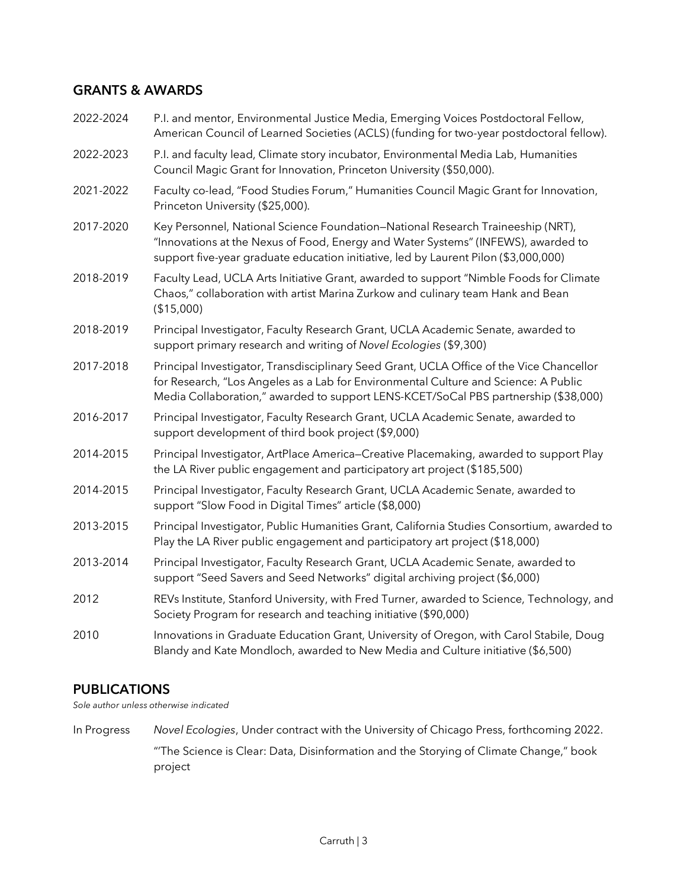### **GRANTS & AWARDS**

| 2022-2024 | P.I. and mentor, Environmental Justice Media, Emerging Voices Postdoctoral Fellow,<br>American Council of Learned Societies (ACLS) (funding for two-year postdoctoral fellow).                                                                                         |
|-----------|------------------------------------------------------------------------------------------------------------------------------------------------------------------------------------------------------------------------------------------------------------------------|
| 2022-2023 | P.I. and faculty lead, Climate story incubator, Environmental Media Lab, Humanities<br>Council Magic Grant for Innovation, Princeton University (\$50,000).                                                                                                            |
| 2021-2022 | Faculty co-lead, "Food Studies Forum," Humanities Council Magic Grant for Innovation,<br>Princeton University (\$25,000).                                                                                                                                              |
| 2017-2020 | Key Personnel, National Science Foundation-National Research Traineeship (NRT),<br>"Innovations at the Nexus of Food, Energy and Water Systems" (INFEWS), awarded to<br>support five-year graduate education initiative, led by Laurent Pilon (\$3,000,000)            |
| 2018-2019 | Faculty Lead, UCLA Arts Initiative Grant, awarded to support "Nimble Foods for Climate<br>Chaos," collaboration with artist Marina Zurkow and culinary team Hank and Bean<br>(\$15,000)                                                                                |
| 2018-2019 | Principal Investigator, Faculty Research Grant, UCLA Academic Senate, awarded to<br>support primary research and writing of Novel Ecologies (\$9,300)                                                                                                                  |
| 2017-2018 | Principal Investigator, Transdisciplinary Seed Grant, UCLA Office of the Vice Chancellor<br>for Research, "Los Angeles as a Lab for Environmental Culture and Science: A Public<br>Media Collaboration," awarded to support LENS-KCET/SoCal PBS partnership (\$38,000) |
| 2016-2017 | Principal Investigator, Faculty Research Grant, UCLA Academic Senate, awarded to<br>support development of third book project (\$9,000)                                                                                                                                |
| 2014-2015 | Principal Investigator, ArtPlace America-Creative Placemaking, awarded to support Play<br>the LA River public engagement and participatory art project (\$185,500)                                                                                                     |
| 2014-2015 | Principal Investigator, Faculty Research Grant, UCLA Academic Senate, awarded to<br>support "Slow Food in Digital Times" article (\$8,000)                                                                                                                             |
| 2013-2015 | Principal Investigator, Public Humanities Grant, California Studies Consortium, awarded to<br>Play the LA River public engagement and participatory art project (\$18,000)                                                                                             |
| 2013-2014 | Principal Investigator, Faculty Research Grant, UCLA Academic Senate, awarded to<br>support "Seed Savers and Seed Networks" digital archiving project (\$6,000)                                                                                                        |
| 2012      | REVs Institute, Stanford University, with Fred Turner, awarded to Science, Technology, and<br>Society Program for research and teaching initiative (\$90,000)                                                                                                          |
| 2010      | Innovations in Graduate Education Grant, University of Oregon, with Carol Stabile, Doug<br>Blandy and Kate Mondloch, awarded to New Media and Culture initiative (\$6,500)                                                                                             |

## **PUBLICATIONS**

*Sole author unless otherwise indicated*

In Progress *Novel Ecologies*, Under contract with the University of Chicago Press, forthcoming 2022. "'The Science is Clear: Data, Disinformation and the Storying of Climate Change," book project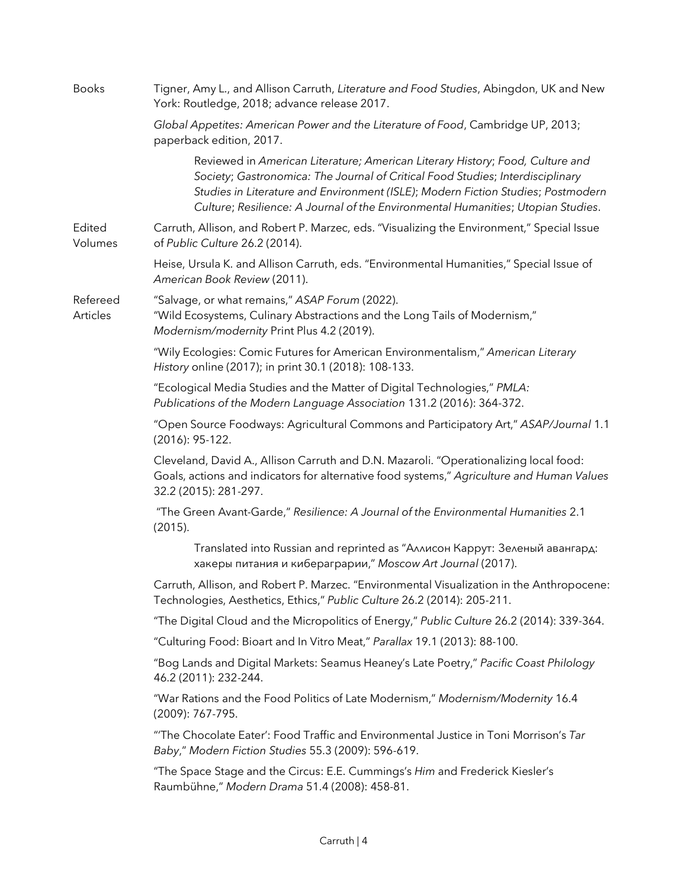| <b>Books</b>         | Tigner, Amy L., and Allison Carruth, Literature and Food Studies, Abingdon, UK and New<br>York: Routledge, 2018; advance release 2017.                                                                                                                                                                                                  |
|----------------------|-----------------------------------------------------------------------------------------------------------------------------------------------------------------------------------------------------------------------------------------------------------------------------------------------------------------------------------------|
|                      | Global Appetites: American Power and the Literature of Food, Cambridge UP, 2013;<br>paperback edition, 2017.                                                                                                                                                                                                                            |
|                      | Reviewed in American Literature; American Literary History; Food, Culture and<br>Society; Gastronomica: The Journal of Critical Food Studies; Interdisciplinary<br>Studies in Literature and Environment (ISLE); Modern Fiction Studies; Postmodern<br>Culture; Resilience: A Journal of the Environmental Humanities; Utopian Studies. |
| Edited<br>Volumes    | Carruth, Allison, and Robert P. Marzec, eds. "Visualizing the Environment," Special Issue<br>of Public Culture 26.2 (2014).                                                                                                                                                                                                             |
|                      | Heise, Ursula K. and Allison Carruth, eds. "Environmental Humanities," Special Issue of<br>American Book Review (2011).                                                                                                                                                                                                                 |
| Refereed<br>Articles | "Salvage, or what remains," ASAP Forum (2022).<br>"Wild Ecosystems, Culinary Abstractions and the Long Tails of Modernism,"<br>Modernism/modernity Print Plus 4.2 (2019).                                                                                                                                                               |
|                      | "Wily Ecologies: Comic Futures for American Environmentalism," American Literary<br>History online (2017); in print 30.1 (2018): 108-133.                                                                                                                                                                                               |
|                      | "Ecological Media Studies and the Matter of Digital Technologies," PMLA:<br>Publications of the Modern Language Association 131.2 (2016): 364-372.                                                                                                                                                                                      |
|                      | "Open Source Foodways: Agricultural Commons and Participatory Art," ASAP/Journal 1.1<br>$(2016): 95-122.$                                                                                                                                                                                                                               |
|                      | Cleveland, David A., Allison Carruth and D.N. Mazaroli. "Operationalizing local food:<br>Goals, actions and indicators for alternative food systems," Agriculture and Human Values<br>32.2 (2015): 281-297.                                                                                                                             |
|                      | "The Green Avant-Garde," Resilience: A Journal of the Environmental Humanities 2.1<br>(2015).                                                                                                                                                                                                                                           |
|                      | Translated into Russian and reprinted as "Аллисон Каррут: Зеленый авангард:<br>хакеры питания и кибераграрии," Moscow Art Journal (2017).                                                                                                                                                                                               |
|                      | Carruth, Allison, and Robert P. Marzec. "Environmental Visualization in the Anthropocene:<br>Technologies, Aesthetics, Ethics," Public Culture 26.2 (2014): 205-211.                                                                                                                                                                    |
|                      | "The Digital Cloud and the Micropolitics of Energy," Public Culture 26.2 (2014): 339-364.                                                                                                                                                                                                                                               |
|                      | "Culturing Food: Bioart and In Vitro Meat," Parallax 19.1 (2013): 88-100.                                                                                                                                                                                                                                                               |
|                      | "Bog Lands and Digital Markets: Seamus Heaney's Late Poetry," Pacific Coast Philology<br>46.2 (2011): 232-244.                                                                                                                                                                                                                          |
|                      | "War Rations and the Food Politics of Late Modernism," Modernism/Modernity 16.4<br>(2009): 767-795.                                                                                                                                                                                                                                     |
|                      | "The Chocolate Eater': Food Traffic and Environmental Justice in Toni Morrison's Tar<br>Baby," Modern Fiction Studies 55.3 (2009): 596-619.                                                                                                                                                                                             |
|                      | "The Space Stage and the Circus: E.E. Cummings's Him and Frederick Kiesler's<br>Raumbühne," Modern Drama 51.4 (2008): 458-81.                                                                                                                                                                                                           |
|                      |                                                                                                                                                                                                                                                                                                                                         |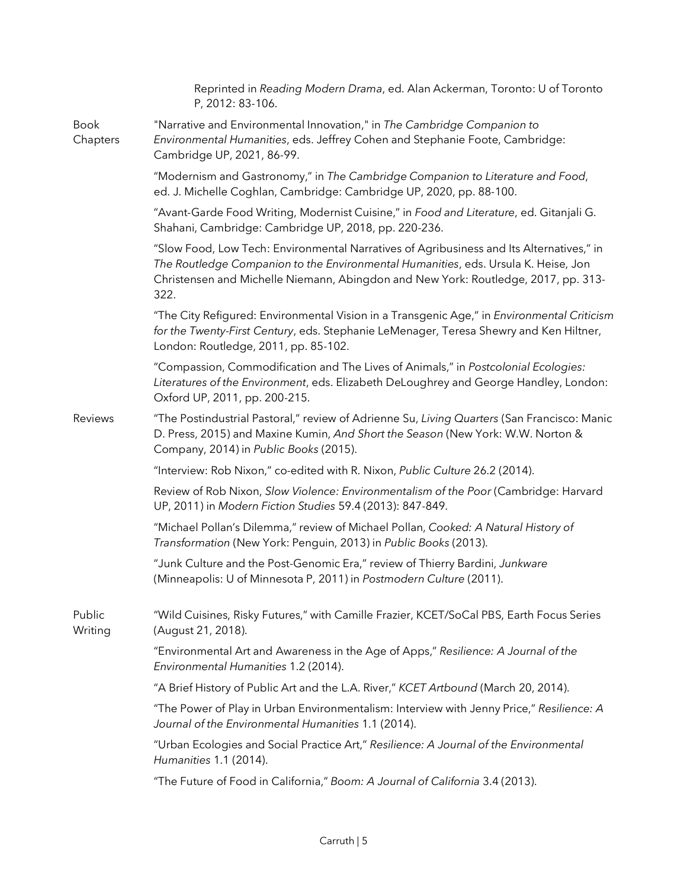|                         | Reprinted in Reading Modern Drama, ed. Alan Ackerman, Toronto: U of Toronto<br>P, 2012: 83-106.                                                                                                                                                                              |
|-------------------------|------------------------------------------------------------------------------------------------------------------------------------------------------------------------------------------------------------------------------------------------------------------------------|
| <b>Book</b><br>Chapters | "Narrative and Environmental Innovation," in The Cambridge Companion to<br>Environmental Humanities, eds. Jeffrey Cohen and Stephanie Foote, Cambridge:<br>Cambridge UP, 2021, 86-99.                                                                                        |
|                         | "Modernism and Gastronomy," in The Cambridge Companion to Literature and Food,<br>ed. J. Michelle Coghlan, Cambridge: Cambridge UP, 2020, pp. 88-100.                                                                                                                        |
|                         | "Avant-Garde Food Writing, Modernist Cuisine," in Food and Literature, ed. Gitanjali G.<br>Shahani, Cambridge: Cambridge UP, 2018, pp. 220-236.                                                                                                                              |
|                         | "Slow Food, Low Tech: Environmental Narratives of Agribusiness and Its Alternatives," in<br>The Routledge Companion to the Environmental Humanities, eds. Ursula K. Heise, Jon<br>Christensen and Michelle Niemann, Abingdon and New York: Routledge, 2017, pp. 313-<br>322. |
|                         | "The City Refigured: Environmental Vision in a Transgenic Age," in Environmental Criticism<br>for the Twenty-First Century, eds. Stephanie LeMenager, Teresa Shewry and Ken Hiltner,<br>London: Routledge, 2011, pp. 85-102.                                                 |
|                         | "Compassion, Commodification and The Lives of Animals," in Postcolonial Ecologies:<br>Literatures of the Environment, eds. Elizabeth DeLoughrey and George Handley, London:<br>Oxford UP, 2011, pp. 200-215.                                                                 |
| Reviews                 | "The Postindustrial Pastoral," review of Adrienne Su, Living Quarters (San Francisco: Manic<br>D. Press, 2015) and Maxine Kumin, And Short the Season (New York: W.W. Norton &<br>Company, 2014) in Public Books (2015).                                                     |
|                         | "Interview: Rob Nixon," co-edited with R. Nixon, Public Culture 26.2 (2014).                                                                                                                                                                                                 |
|                         | Review of Rob Nixon, Slow Violence: Environmentalism of the Poor (Cambridge: Harvard<br>UP, 2011) in Modern Fiction Studies 59.4 (2013): 847-849.                                                                                                                            |
|                         | "Michael Pollan's Dilemma," review of Michael Pollan, Cooked: A Natural History of<br>Transformation (New York: Penguin, 2013) in Public Books (2013).                                                                                                                       |
|                         | "Junk Culture and the Post-Genomic Era," review of Thierry Bardini, Junkware<br>(Minneapolis: U of Minnesota P, 2011) in Postmodern Culture (2011).                                                                                                                          |
| Public<br>Writing       | "Wild Cuisines, Risky Futures," with Camille Frazier, KCET/SoCal PBS, Earth Focus Series<br>(August 21, 2018).                                                                                                                                                               |
|                         | "Environmental Art and Awareness in the Age of Apps," Resilience: A Journal of the<br>Environmental Humanities 1.2 (2014).                                                                                                                                                   |
|                         | "A Brief History of Public Art and the L.A. River," KCET Artbound (March 20, 2014).                                                                                                                                                                                          |
|                         | "The Power of Play in Urban Environmentalism: Interview with Jenny Price," Resilience: A<br>Journal of the Environmental Humanities 1.1 (2014).                                                                                                                              |
|                         | "Urban Ecologies and Social Practice Art," Resilience: A Journal of the Environmental<br>Humanities 1.1 (2014).                                                                                                                                                              |
|                         | "The Future of Food in California," Boom: A Journal of California 3.4 (2013).                                                                                                                                                                                                |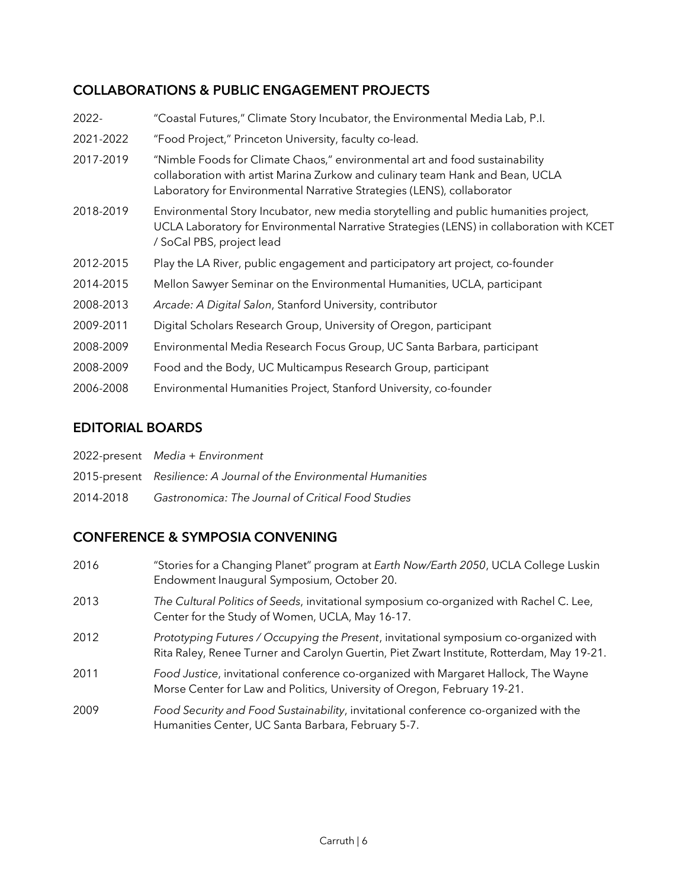## **COLLABORATIONS & PUBLIC ENGAGEMENT PROJECTS**

| 2022-     | "Coastal Futures," Climate Story Incubator, the Environmental Media Lab, P.I.                                                                                                                                                          |
|-----------|----------------------------------------------------------------------------------------------------------------------------------------------------------------------------------------------------------------------------------------|
| 2021-2022 | "Food Project," Princeton University, faculty co-lead.                                                                                                                                                                                 |
| 2017-2019 | "Nimble Foods for Climate Chaos," environmental art and food sustainability<br>collaboration with artist Marina Zurkow and culinary team Hank and Bean, UCLA<br>Laboratory for Environmental Narrative Strategies (LENS), collaborator |
| 2018-2019 | Environmental Story Incubator, new media storytelling and public humanities project,<br>UCLA Laboratory for Environmental Narrative Strategies (LENS) in collaboration with KCET<br>/ SoCal PBS, project lead                          |
| 2012-2015 | Play the LA River, public engagement and participatory art project, co-founder                                                                                                                                                         |
| 2014-2015 | Mellon Sawyer Seminar on the Environmental Humanities, UCLA, participant                                                                                                                                                               |
| 2008-2013 | Arcade: A Digital Salon, Stanford University, contributor                                                                                                                                                                              |
| 2009-2011 | Digital Scholars Research Group, University of Oregon, participant                                                                                                                                                                     |
| 2008-2009 | Environmental Media Research Focus Group, UC Santa Barbara, participant                                                                                                                                                                |
| 2008-2009 | Food and the Body, UC Multicampus Research Group, participant                                                                                                                                                                          |
| 2006-2008 | Environmental Humanities Project, Stanford University, co-founder                                                                                                                                                                      |

## **EDITORIAL BOARDS**

|  | 2022-present Media + Environment |
|--|----------------------------------|
|--|----------------------------------|

- 2015-present *Resilience: A Journal of the Environmental Humanities*
- 2014-2018 *Gastronomica: The Journal of Critical Food Studies*

## **CONFERENCE & SYMPOSIA CONVENING**

- 2016 "Stories for a Changing Planet" program at *Earth Now/Earth 2050*, UCLA College Luskin Endowment Inaugural Symposium, October 20.
- 2013 *The Cultural Politics of Seeds*, invitational symposium co-organized with Rachel C. Lee, Center for the Study of Women, UCLA, May 16-17.
- 2012 *Prototyping Futures / Occupying the Present*, invitational symposium co-organized with Rita Raley, Renee Turner and Carolyn Guertin, Piet Zwart Institute, Rotterdam, May 19-21.
- 2011 *Food Justice*, invitational conference co-organized with Margaret Hallock, The Wayne Morse Center for Law and Politics, University of Oregon, February 19-21.
- 2009 *Food Security and Food Sustainability*, invitational conference co-organized with the Humanities Center, UC Santa Barbara, February 5-7.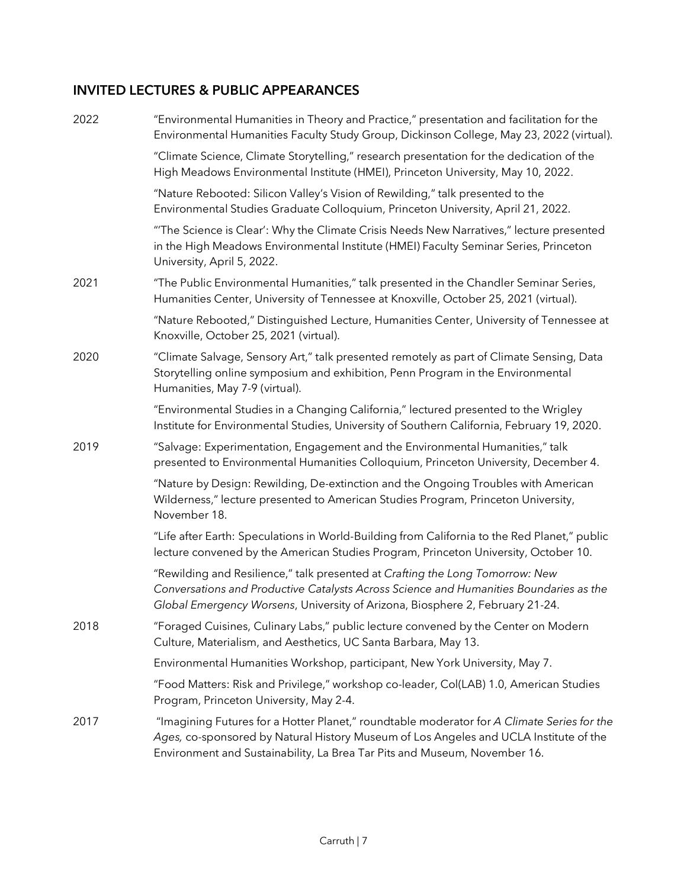## **INVITED LECTURES & PUBLIC APPEARANCES**

| 2022 | "Environmental Humanities in Theory and Practice," presentation and facilitation for the<br>Environmental Humanities Faculty Study Group, Dickinson College, May 23, 2022 (virtual).                                                                             |
|------|------------------------------------------------------------------------------------------------------------------------------------------------------------------------------------------------------------------------------------------------------------------|
|      | "Climate Science, Climate Storytelling," research presentation for the dedication of the<br>High Meadows Environmental Institute (HMEI), Princeton University, May 10, 2022.                                                                                     |
|      | "Nature Rebooted: Silicon Valley's Vision of Rewilding," talk presented to the<br>Environmental Studies Graduate Colloquium, Princeton University, April 21, 2022.                                                                                               |
|      | "The Science is Clear': Why the Climate Crisis Needs New Narratives," lecture presented<br>in the High Meadows Environmental Institute (HMEI) Faculty Seminar Series, Princeton<br>University, April 5, 2022.                                                    |
| 2021 | "The Public Environmental Humanities," talk presented in the Chandler Seminar Series,<br>Humanities Center, University of Tennessee at Knoxville, October 25, 2021 (virtual).                                                                                    |
|      | "Nature Rebooted," Distinguished Lecture, Humanities Center, University of Tennessee at<br>Knoxville, October 25, 2021 (virtual).                                                                                                                                |
| 2020 | "Climate Salvage, Sensory Art," talk presented remotely as part of Climate Sensing, Data<br>Storytelling online symposium and exhibition, Penn Program in the Environmental<br>Humanities, May 7-9 (virtual).                                                    |
|      | "Environmental Studies in a Changing California," lectured presented to the Wrigley<br>Institute for Environmental Studies, University of Southern California, February 19, 2020.                                                                                |
| 2019 | "Salvage: Experimentation, Engagement and the Environmental Humanities," talk<br>presented to Environmental Humanities Colloquium, Princeton University, December 4.                                                                                             |
|      | "Nature by Design: Rewilding, De-extinction and the Ongoing Troubles with American<br>Wilderness," lecture presented to American Studies Program, Princeton University,<br>November 18.                                                                          |
|      | "Life after Earth: Speculations in World-Building from California to the Red Planet," public<br>lecture convened by the American Studies Program, Princeton University, October 10.                                                                              |
|      | "Rewilding and Resilience," talk presented at Crafting the Long Tomorrow: New<br>Conversations and Productive Catalysts Across Science and Humanities Boundaries as the<br>Global Emergency Worsens, University of Arizona, Biosphere 2, February 21-24.         |
| 2018 | "Foraged Cuisines, Culinary Labs," public lecture convened by the Center on Modern<br>Culture, Materialism, and Aesthetics, UC Santa Barbara, May 13.                                                                                                            |
|      | Environmental Humanities Workshop, participant, New York University, May 7.                                                                                                                                                                                      |
|      | "Food Matters: Risk and Privilege," workshop co-leader, Col(LAB) 1.0, American Studies<br>Program, Princeton University, May 2-4.                                                                                                                                |
| 2017 | "Imagining Futures for a Hotter Planet," roundtable moderator for A Climate Series for the<br>Ages, co-sponsored by Natural History Museum of Los Angeles and UCLA Institute of the<br>Environment and Sustainability, La Brea Tar Pits and Museum, November 16. |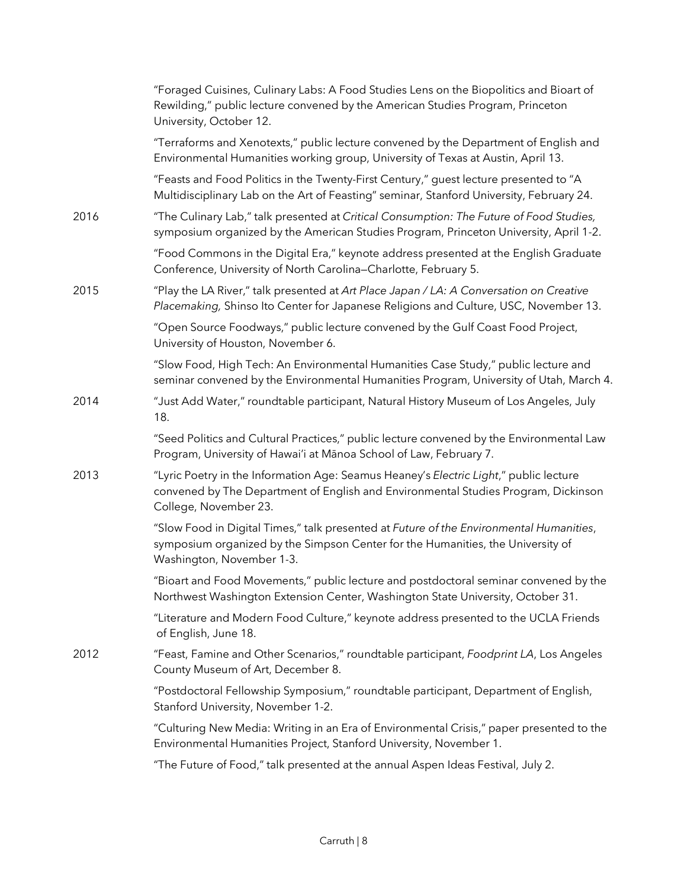|      | "Foraged Cuisines, Culinary Labs: A Food Studies Lens on the Biopolitics and Bioart of<br>Rewilding," public lecture convened by the American Studies Program, Princeton<br>University, October 12.     |
|------|---------------------------------------------------------------------------------------------------------------------------------------------------------------------------------------------------------|
|      | "Terraforms and Xenotexts," public lecture convened by the Department of English and<br>Environmental Humanities working group, University of Texas at Austin, April 13.                                |
|      | "Feasts and Food Politics in the Twenty-First Century," guest lecture presented to "A<br>Multidisciplinary Lab on the Art of Feasting" seminar, Stanford University, February 24.                       |
| 2016 | "The Culinary Lab," talk presented at Critical Consumption: The Future of Food Studies,<br>symposium organized by the American Studies Program, Princeton University, April 1-2.                        |
|      | "Food Commons in the Digital Era," keynote address presented at the English Graduate<br>Conference, University of North Carolina-Charlotte, February 5.                                                 |
| 2015 | "Play the LA River," talk presented at Art Place Japan / LA: A Conversation on Creative<br>Placemaking, Shinso Ito Center for Japanese Religions and Culture, USC, November 13.                         |
|      | "Open Source Foodways," public lecture convened by the Gulf Coast Food Project,<br>University of Houston, November 6.                                                                                   |
|      | "Slow Food, High Tech: An Environmental Humanities Case Study," public lecture and<br>seminar convened by the Environmental Humanities Program, University of Utah, March 4.                            |
| 2014 | "Just Add Water," roundtable participant, Natural History Museum of Los Angeles, July<br>18.                                                                                                            |
|      | "Seed Politics and Cultural Practices," public lecture convened by the Environmental Law<br>Program, University of Hawai'i at Mānoa School of Law, February 7.                                          |
| 2013 | "Lyric Poetry in the Information Age: Seamus Heaney's Electric Light," public lecture<br>convened by The Department of English and Environmental Studies Program, Dickinson<br>College, November 23.    |
|      | "Slow Food in Digital Times," talk presented at Future of the Environmental Humanities,<br>symposium organized by the Simpson Center for the Humanities, the University of<br>Washington, November 1-3. |
|      | "Bioart and Food Movements," public lecture and postdoctoral seminar convened by the<br>Northwest Washington Extension Center, Washington State University, October 31.                                 |
|      | "Literature and Modern Food Culture," keynote address presented to the UCLA Friends<br>of English, June 18.                                                                                             |
| 2012 | "Feast, Famine and Other Scenarios," roundtable participant, Foodprint LA, Los Angeles<br>County Museum of Art, December 8.                                                                             |
|      | "Postdoctoral Fellowship Symposium," roundtable participant, Department of English,<br>Stanford University, November 1-2.                                                                               |
|      | "Culturing New Media: Writing in an Era of Environmental Crisis," paper presented to the<br>Environmental Humanities Project, Stanford University, November 1.                                          |
|      | "The Future of Food," talk presented at the annual Aspen Ideas Festival, July 2.                                                                                                                        |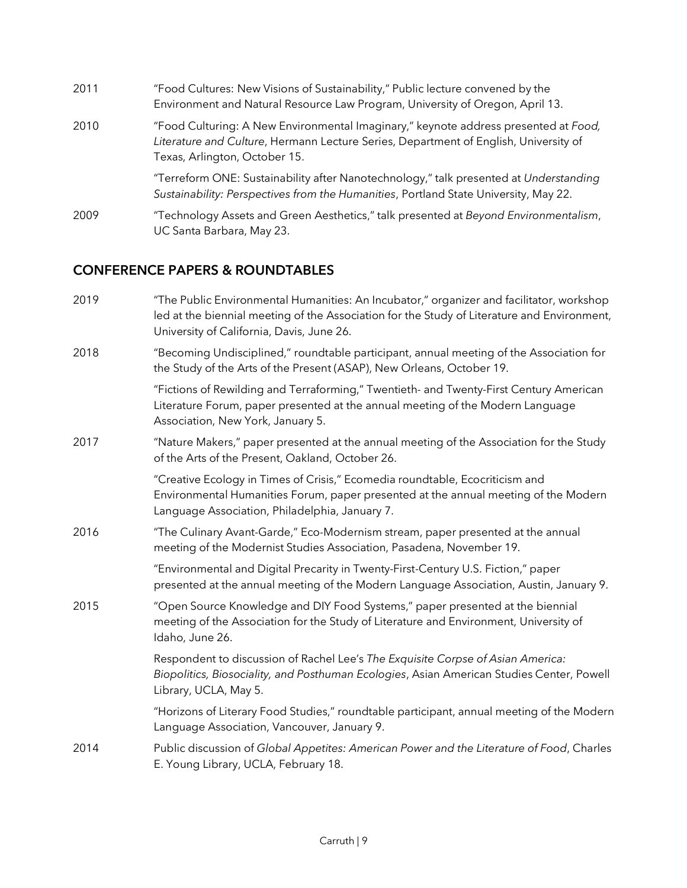| 2011 | "Food Cultures: New Visions of Sustainability," Public lecture convened by the<br>Environment and Natural Resource Law Program, University of Oregon, April 13.                                              |
|------|--------------------------------------------------------------------------------------------------------------------------------------------------------------------------------------------------------------|
| 2010 | "Food Culturing: A New Environmental Imaginary," keynote address presented at Food,<br>Literature and Culture, Hermann Lecture Series, Department of English, University of<br>Texas, Arlington, October 15. |
|      | "Terreform ONE: Sustainability after Nanotechnology," talk presented at Understanding<br>Sustainability: Perspectives from the Humanities, Portland State University, May 22.                                |
| 2009 | "Technology Assets and Green Aesthetics," talk presented at Beyond Environmentalism,<br>UC Santa Barbara, May 23.                                                                                            |

## **CONFERENCE PAPERS & ROUNDTABLES**

| 2019 | "The Public Environmental Humanities: An Incubator," organizer and facilitator, workshop<br>led at the biennial meeting of the Association for the Study of Literature and Environment,<br>University of California, Davis, June 26. |
|------|--------------------------------------------------------------------------------------------------------------------------------------------------------------------------------------------------------------------------------------|
| 2018 | "Becoming Undisciplined," roundtable participant, annual meeting of the Association for<br>the Study of the Arts of the Present (ASAP), New Orleans, October 19.                                                                     |
|      | "Fictions of Rewilding and Terraforming," Twentieth- and Twenty-First Century American<br>Literature Forum, paper presented at the annual meeting of the Modern Language<br>Association, New York, January 5.                        |
| 2017 | "Nature Makers," paper presented at the annual meeting of the Association for the Study<br>of the Arts of the Present, Oakland, October 26.                                                                                          |
|      | "Creative Ecology in Times of Crisis," Ecomedia roundtable, Ecocriticism and<br>Environmental Humanities Forum, paper presented at the annual meeting of the Modern<br>Language Association, Philadelphia, January 7.                |
| 2016 | "The Culinary Avant-Garde," Eco-Modernism stream, paper presented at the annual<br>meeting of the Modernist Studies Association, Pasadena, November 19.                                                                              |
|      | "Environmental and Digital Precarity in Twenty-First-Century U.S. Fiction," paper<br>presented at the annual meeting of the Modern Language Association, Austin, January 9.                                                          |
| 2015 | "Open Source Knowledge and DIY Food Systems," paper presented at the biennial<br>meeting of the Association for the Study of Literature and Environment, University of<br>Idaho, June 26.                                            |
|      | Respondent to discussion of Rachel Lee's The Exquisite Corpse of Asian America:<br>Biopolitics, Biosociality, and Posthuman Ecologies, Asian American Studies Center, Powell<br>Library, UCLA, May 5.                                |
|      | "Horizons of Literary Food Studies," roundtable participant, annual meeting of the Modern<br>Language Association, Vancouver, January 9.                                                                                             |
| 2014 | Public discussion of Global Appetites: American Power and the Literature of Food, Charles<br>E. Young Library, UCLA, February 18.                                                                                                    |
|      |                                                                                                                                                                                                                                      |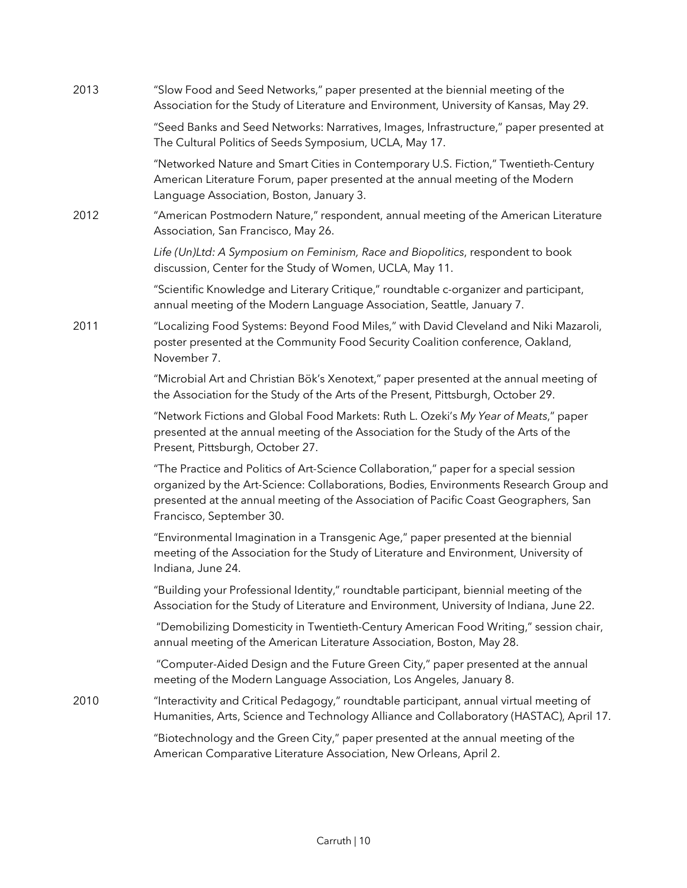| 2013 | "Slow Food and Seed Networks," paper presented at the biennial meeting of the<br>Association for the Study of Literature and Environment, University of Kansas, May 29.                                                                                                                            |
|------|----------------------------------------------------------------------------------------------------------------------------------------------------------------------------------------------------------------------------------------------------------------------------------------------------|
|      | "Seed Banks and Seed Networks: Narratives, Images, Infrastructure," paper presented at<br>The Cultural Politics of Seeds Symposium, UCLA, May 17.                                                                                                                                                  |
|      | "Networked Nature and Smart Cities in Contemporary U.S. Fiction," Twentieth-Century<br>American Literature Forum, paper presented at the annual meeting of the Modern<br>Language Association, Boston, January 3.                                                                                  |
| 2012 | "American Postmodern Nature," respondent, annual meeting of the American Literature<br>Association, San Francisco, May 26.                                                                                                                                                                         |
|      | Life (Un)Ltd: A Symposium on Feminism, Race and Biopolitics, respondent to book<br>discussion, Center for the Study of Women, UCLA, May 11.                                                                                                                                                        |
|      | "Scientific Knowledge and Literary Critique," roundtable c-organizer and participant,<br>annual meeting of the Modern Language Association, Seattle, January 7.                                                                                                                                    |
| 2011 | "Localizing Food Systems: Beyond Food Miles," with David Cleveland and Niki Mazaroli,<br>poster presented at the Community Food Security Coalition conference, Oakland,<br>November 7.                                                                                                             |
|      | "Microbial Art and Christian Bök's Xenotext," paper presented at the annual meeting of<br>the Association for the Study of the Arts of the Present, Pittsburgh, October 29.                                                                                                                        |
|      | "Network Fictions and Global Food Markets: Ruth L. Ozeki's My Year of Meats," paper<br>presented at the annual meeting of the Association for the Study of the Arts of the<br>Present, Pittsburgh, October 27.                                                                                     |
|      | "The Practice and Politics of Art-Science Collaboration," paper for a special session<br>organized by the Art-Science: Collaborations, Bodies, Environments Research Group and<br>presented at the annual meeting of the Association of Pacific Coast Geographers, San<br>Francisco, September 30. |
|      | "Environmental Imagination in a Transgenic Age," paper presented at the biennial<br>meeting of the Association for the Study of Literature and Environment, University of<br>Indiana, June 24.                                                                                                     |
|      | "Building your Professional Identity," roundtable participant, biennial meeting of the<br>Association for the Study of Literature and Environment, University of Indiana, June 22.                                                                                                                 |
|      | "Demobilizing Domesticity in Twentieth-Century American Food Writing," session chair,<br>annual meeting of the American Literature Association, Boston, May 28.                                                                                                                                    |
|      | "Computer-Aided Design and the Future Green City," paper presented at the annual<br>meeting of the Modern Language Association, Los Angeles, January 8.                                                                                                                                            |
| 2010 | "Interactivity and Critical Pedagogy," roundtable participant, annual virtual meeting of<br>Humanities, Arts, Science and Technology Alliance and Collaboratory (HASTAC), April 17.                                                                                                                |
|      | "Biotechnology and the Green City," paper presented at the annual meeting of the<br>American Comparative Literature Association, New Orleans, April 2.                                                                                                                                             |
|      |                                                                                                                                                                                                                                                                                                    |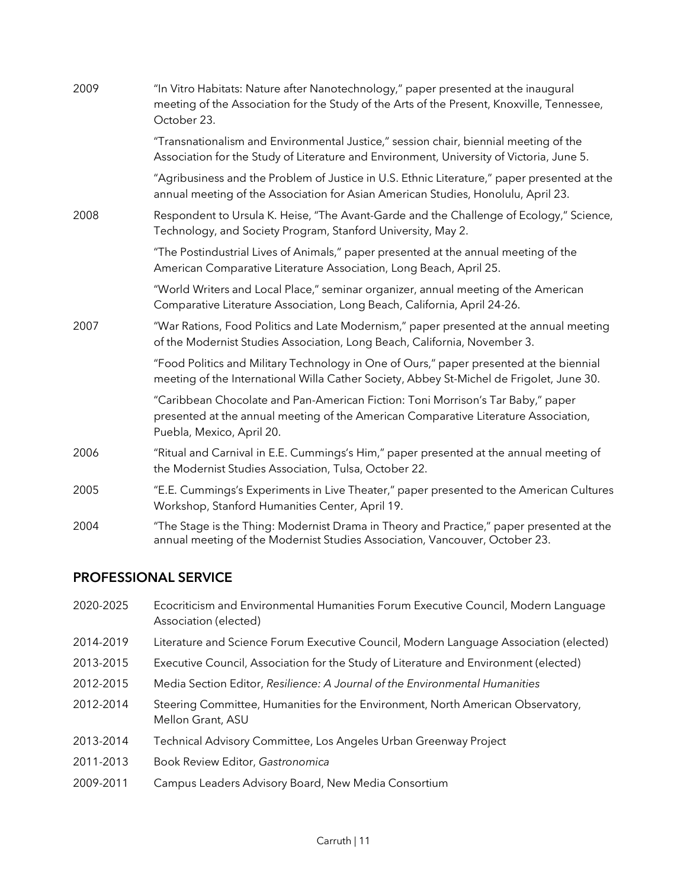| 2009 | "In Vitro Habitats: Nature after Nanotechnology," paper presented at the inaugural<br>meeting of the Association for the Study of the Arts of the Present, Knoxville, Tennessee,<br>October 23.     |
|------|-----------------------------------------------------------------------------------------------------------------------------------------------------------------------------------------------------|
|      | "Transnationalism and Environmental Justice," session chair, biennial meeting of the<br>Association for the Study of Literature and Environment, University of Victoria, June 5.                    |
|      | "Agribusiness and the Problem of Justice in U.S. Ethnic Literature," paper presented at the<br>annual meeting of the Association for Asian American Studies, Honolulu, April 23.                    |
| 2008 | Respondent to Ursula K. Heise, "The Avant-Garde and the Challenge of Ecology," Science,<br>Technology, and Society Program, Stanford University, May 2.                                             |
|      | "The Postindustrial Lives of Animals," paper presented at the annual meeting of the<br>American Comparative Literature Association, Long Beach, April 25.                                           |
|      | "World Writers and Local Place," seminar organizer, annual meeting of the American<br>Comparative Literature Association, Long Beach, California, April 24-26.                                      |
| 2007 | "War Rations, Food Politics and Late Modernism," paper presented at the annual meeting<br>of the Modernist Studies Association, Long Beach, California, November 3.                                 |
|      | "Food Politics and Military Technology in One of Ours," paper presented at the biennial<br>meeting of the International Willa Cather Society, Abbey St-Michel de Frigolet, June 30.                 |
|      | "Caribbean Chocolate and Pan-American Fiction: Toni Morrison's Tar Baby," paper<br>presented at the annual meeting of the American Comparative Literature Association,<br>Puebla, Mexico, April 20. |
| 2006 | "Ritual and Carnival in E.E. Cummings's Him," paper presented at the annual meeting of<br>the Modernist Studies Association, Tulsa, October 22.                                                     |
| 2005 | "E.E. Cummings's Experiments in Live Theater," paper presented to the American Cultures<br>Workshop, Stanford Humanities Center, April 19.                                                          |
| 2004 | "The Stage is the Thing: Modernist Drama in Theory and Practice," paper presented at the<br>annual meeting of the Modernist Studies Association, Vancouver, October 23.                             |

# **PROFESSIONAL SERVICE**

| 2020-2025 | Ecocriticism and Environmental Humanities Forum Executive Council, Modern Language<br>Association (elected) |
|-----------|-------------------------------------------------------------------------------------------------------------|
| 2014-2019 | Literature and Science Forum Executive Council, Modern Language Association (elected)                       |
| 2013-2015 | Executive Council, Association for the Study of Literature and Environment (elected)                        |
| 2012-2015 | Media Section Editor, Resilience: A Journal of the Environmental Humanities                                 |
| 2012-2014 | Steering Committee, Humanities for the Environment, North American Observatory,<br>Mellon Grant, ASU        |
| 2013-2014 | Technical Advisory Committee, Los Angeles Urban Greenway Project                                            |
| 2011-2013 | Book Review Editor, Gastronomica                                                                            |
| 2009-2011 | Campus Leaders Advisory Board, New Media Consortium                                                         |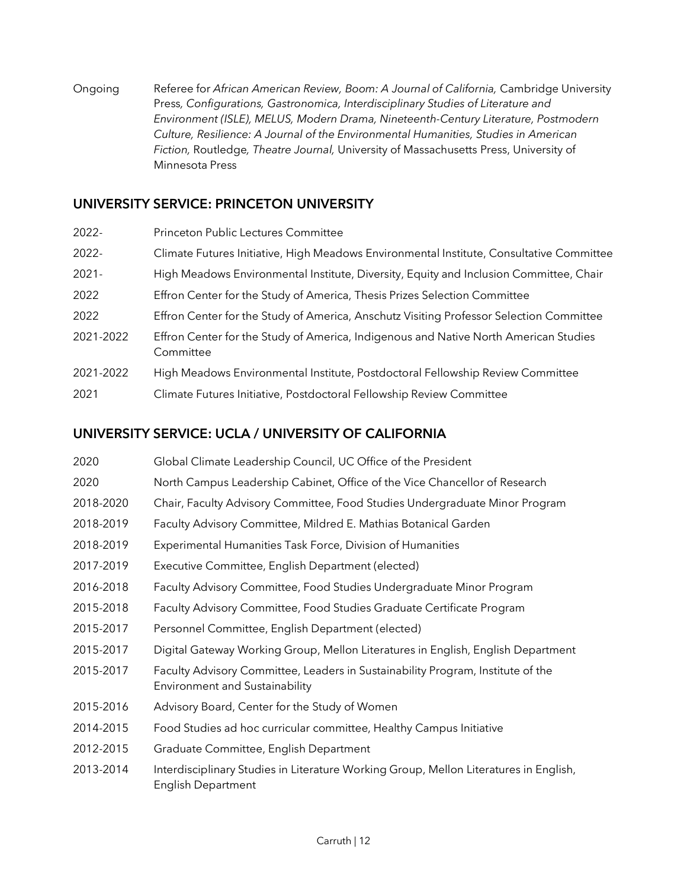Ongoing Referee for *African American Review, Boom: A Journal of California,* Cambridge University Press*, Configurations, Gastronomica, Interdisciplinary Studies of Literature and Environment (ISLE), MELUS, Modern Drama, Nineteenth-Century Literature, Postmodern Culture, Resilience: A Journal of the Environmental Humanities, Studies in American Fiction,* Routledge*, Theatre Journal,* University of Massachusetts Press, University of Minnesota Press

### **UNIVERSITY SERVICE: PRINCETON UNIVERSITY**

| 2022-     | Princeton Public Lectures Committee                                                               |
|-----------|---------------------------------------------------------------------------------------------------|
| 2022-     | Climate Futures Initiative, High Meadows Environmental Institute, Consultative Committee          |
| $2021 -$  | High Meadows Environmental Institute, Diversity, Equity and Inclusion Committee, Chair            |
| 2022      | Effron Center for the Study of America, Thesis Prizes Selection Committee                         |
| 2022      | Effron Center for the Study of America, Anschutz Visiting Professor Selection Committee           |
| 2021-2022 | Effron Center for the Study of America, Indigenous and Native North American Studies<br>Committee |
| 2021-2022 | High Meadows Environmental Institute, Postdoctoral Fellowship Review Committee                    |
| 2021      | Climate Futures Initiative, Postdoctoral Fellowship Review Committee                              |

### **UNIVERSITY SERVICE: UCLA / UNIVERSITY OF CALIFORNIA**

| 2020      | Global Climate Leadership Council, UC Office of the President                                                      |
|-----------|--------------------------------------------------------------------------------------------------------------------|
| 2020      | North Campus Leadership Cabinet, Office of the Vice Chancellor of Research                                         |
| 2018-2020 | Chair, Faculty Advisory Committee, Food Studies Undergraduate Minor Program                                        |
| 2018-2019 | Faculty Advisory Committee, Mildred E. Mathias Botanical Garden                                                    |
| 2018-2019 | Experimental Humanities Task Force, Division of Humanities                                                         |
| 2017-2019 | Executive Committee, English Department (elected)                                                                  |
| 2016-2018 | Faculty Advisory Committee, Food Studies Undergraduate Minor Program                                               |
| 2015-2018 | Faculty Advisory Committee, Food Studies Graduate Certificate Program                                              |
| 2015-2017 | Personnel Committee, English Department (elected)                                                                  |
| 2015-2017 | Digital Gateway Working Group, Mellon Literatures in English, English Department                                   |
| 2015-2017 | Faculty Advisory Committee, Leaders in Sustainability Program, Institute of the<br>Environment and Sustainability  |
| 2015-2016 | Advisory Board, Center for the Study of Women                                                                      |
| 2014-2015 | Food Studies ad hoc curricular committee, Healthy Campus Initiative                                                |
| 2012-2015 | Graduate Committee, English Department                                                                             |
| 2013-2014 | Interdisciplinary Studies in Literature Working Group, Mellon Literatures in English,<br><b>English Department</b> |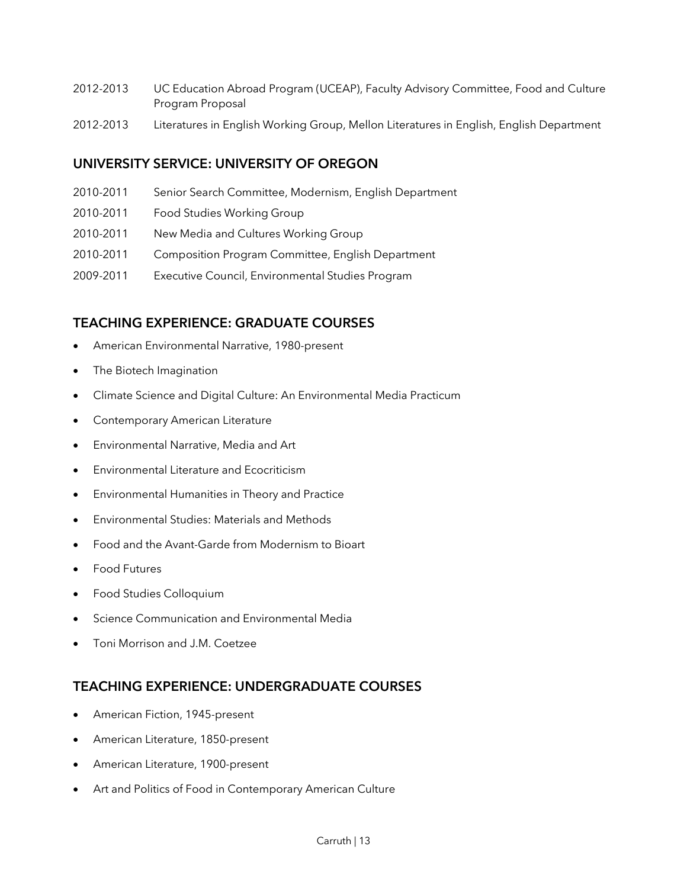- 2012-2013 UC Education Abroad Program (UCEAP), Faculty Advisory Committee, Food and Culture Program Proposal
- 2012-2013 Literatures in English Working Group, Mellon Literatures in English, English Department

### **UNIVERSITY SERVICE: UNIVERSITY OF OREGON**

- 2010-2011 Senior Search Committee, Modernism, English Department
- 2010-2011 Food Studies Working Group
- 2010-2011 New Media and Cultures Working Group
- 2010-2011 Composition Program Committee, English Department
- 2009-2011 Executive Council, Environmental Studies Program

### **TEACHING EXPERIENCE: GRADUATE COURSES**

- American Environmental Narrative, 1980-present
- The Biotech Imagination
- Climate Science and Digital Culture: An Environmental Media Practicum
- Contemporary American Literature
- Environmental Narrative, Media and Art
- Environmental Literature and Ecocriticism
- Environmental Humanities in Theory and Practice
- Environmental Studies: Materials and Methods
- Food and the Avant-Garde from Modernism to Bioart
- Food Futures
- Food Studies Colloquium
- Science Communication and Environmental Media
- Toni Morrison and J.M. Coetzee

### **TEACHING EXPERIENCE: UNDERGRADUATE COURSES**

- American Fiction, 1945-present
- American Literature, 1850-present
- American Literature, 1900-present
- Art and Politics of Food in Contemporary American Culture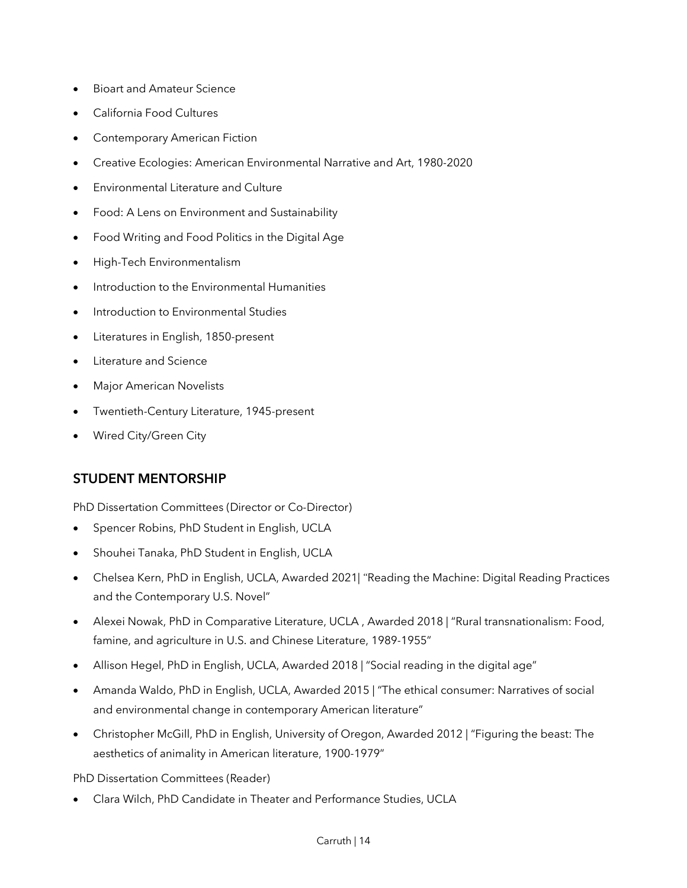- Bioart and Amateur Science
- California Food Cultures
- Contemporary American Fiction
- Creative Ecologies: American Environmental Narrative and Art, 1980-2020
- Environmental Literature and Culture
- Food: A Lens on Environment and Sustainability
- Food Writing and Food Politics in the Digital Age
- High-Tech Environmentalism
- Introduction to the Environmental Humanities
- Introduction to Environmental Studies
- Literatures in English, 1850-present
- Literature and Science
- Major American Novelists
- Twentieth-Century Literature, 1945-present
- Wired City/Green City

## **STUDENT MENTORSHIP**

PhD Dissertation Committees (Director or Co-Director)

- Spencer Robins, PhD Student in English, UCLA
- Shouhei Tanaka, PhD Student in English, UCLA
- Chelsea Kern, PhD in English, UCLA, Awarded 2021| "Reading the Machine: Digital Reading Practices and the Contemporary U.S. Novel"
- Alexei Nowak, PhD in Comparative Literature, UCLA , Awarded 2018 | "Rural transnationalism: Food, famine, and agriculture in U.S. and Chinese Literature, 1989-1955"
- Allison Hegel, PhD in English, UCLA, Awarded 2018 | "Social reading in the digital age"
- Amanda Waldo, PhD in English, UCLA, Awarded 2015 | "The ethical consumer: Narratives of social and environmental change in contemporary American literature"
- Christopher McGill, PhD in English, University of Oregon, Awarded 2012 | "Figuring the beast: The aesthetics of animality in American literature, 1900-1979"

PhD Dissertation Committees (Reader)

• Clara Wilch, PhD Candidate in Theater and Performance Studies, UCLA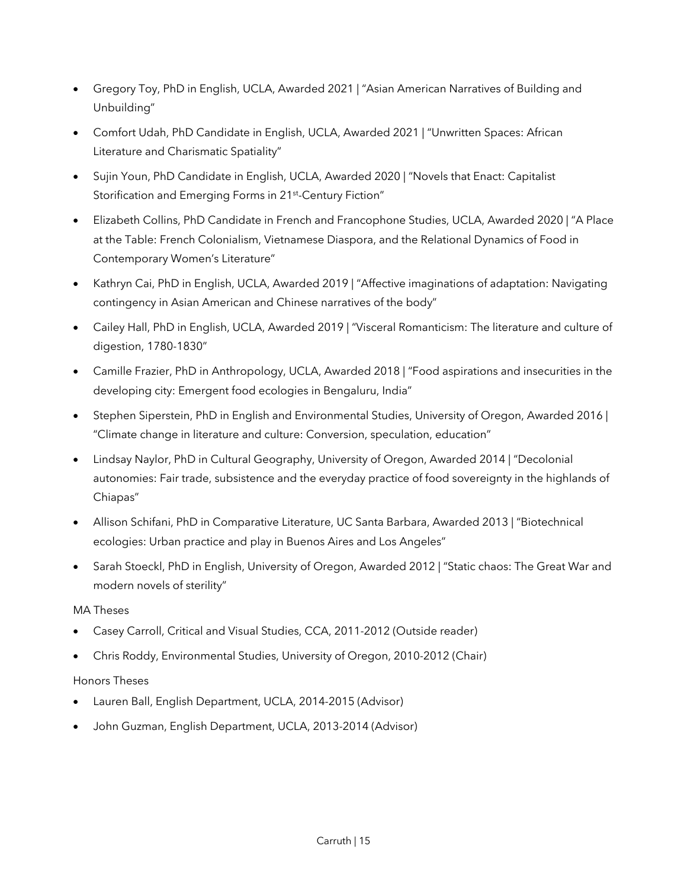- Gregory Toy, PhD in English, UCLA, Awarded 2021 | "Asian American Narratives of Building and Unbuilding"
- Comfort Udah, PhD Candidate in English, UCLA, Awarded 2021 | "Unwritten Spaces: African Literature and Charismatic Spatiality"
- Sujin Youn, PhD Candidate in English, UCLA, Awarded 2020 | "Novels that Enact: Capitalist Storification and Emerging Forms in 21<sup>st</sup>-Century Fiction"
- Elizabeth Collins, PhD Candidate in French and Francophone Studies, UCLA, Awarded 2020 | "A Place at the Table: French Colonialism, Vietnamese Diaspora, and the Relational Dynamics of Food in Contemporary Women's Literature"
- Kathryn Cai, PhD in English, UCLA, Awarded 2019 | "Affective imaginations of adaptation: Navigating contingency in Asian American and Chinese narratives of the body"
- Cailey Hall, PhD in English, UCLA, Awarded 2019 | "Visceral Romanticism: The literature and culture of digestion, 1780-1830"
- Camille Frazier, PhD in Anthropology, UCLA, Awarded 2018 | "Food aspirations and insecurities in the developing city: Emergent food ecologies in Bengaluru, India"
- Stephen Siperstein, PhD in English and Environmental Studies, University of Oregon, Awarded 2016 | "Climate change in literature and culture: Conversion, speculation, education"
- Lindsay Naylor, PhD in Cultural Geography, University of Oregon, Awarded 2014 | "Decolonial autonomies: Fair trade, subsistence and the everyday practice of food sovereignty in the highlands of Chiapas"
- Allison Schifani, PhD in Comparative Literature, UC Santa Barbara, Awarded 2013 | "Biotechnical ecologies: Urban practice and play in Buenos Aires and Los Angeles"
- Sarah Stoeckl, PhD in English, University of Oregon, Awarded 2012 | "Static chaos: The Great War and modern novels of sterility"

#### MA Theses

- Casey Carroll, Critical and Visual Studies, CCA, 2011-2012 (Outside reader)
- Chris Roddy, Environmental Studies, University of Oregon, 2010-2012 (Chair)

### Honors Theses

- Lauren Ball, English Department, UCLA, 2014-2015 (Advisor)
- John Guzman, English Department, UCLA, 2013-2014 (Advisor)